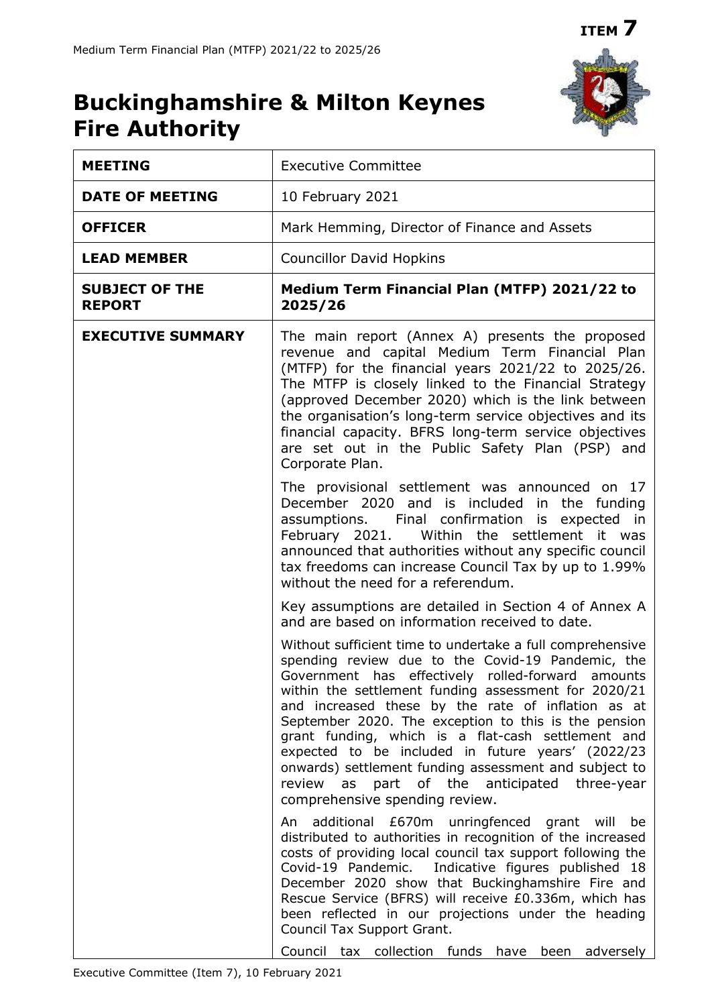# **Buckinghamshire & Milton Keynes Fire Authority**

| <b>MEETING</b>                         | <b>Executive Committee</b>                                                                                                                                                                                                                                                                                                                                                                                                                                                                                                                                                                         |  |  |  |  |
|----------------------------------------|----------------------------------------------------------------------------------------------------------------------------------------------------------------------------------------------------------------------------------------------------------------------------------------------------------------------------------------------------------------------------------------------------------------------------------------------------------------------------------------------------------------------------------------------------------------------------------------------------|--|--|--|--|
| <b>DATE OF MEETING</b>                 | 10 February 2021                                                                                                                                                                                                                                                                                                                                                                                                                                                                                                                                                                                   |  |  |  |  |
| <b>OFFICER</b>                         | Mark Hemming, Director of Finance and Assets                                                                                                                                                                                                                                                                                                                                                                                                                                                                                                                                                       |  |  |  |  |
| <b>LEAD MEMBER</b>                     | <b>Councillor David Hopkins</b>                                                                                                                                                                                                                                                                                                                                                                                                                                                                                                                                                                    |  |  |  |  |
| <b>SUBJECT OF THE</b><br><b>REPORT</b> | Medium Term Financial Plan (MTFP) 2021/22 to<br>2025/26                                                                                                                                                                                                                                                                                                                                                                                                                                                                                                                                            |  |  |  |  |
| <b>EXECUTIVE SUMMARY</b>               | The main report (Annex A) presents the proposed<br>revenue and capital Medium Term Financial Plan<br>(MTFP) for the financial years 2021/22 to 2025/26.<br>The MTFP is closely linked to the Financial Strategy<br>(approved December 2020) which is the link between<br>the organisation's long-term service objectives and its<br>financial capacity. BFRS long-term service objectives<br>are set out in the Public Safety Plan (PSP) and<br>Corporate Plan.                                                                                                                                    |  |  |  |  |
|                                        | The provisional settlement was announced on 17<br>December 2020 and is included in the funding<br>assumptions. Final confirmation is expected in<br>February 2021.<br>Within the settlement it was<br>announced that authorities without any specific council<br>tax freedoms can increase Council Tax by up to 1.99%<br>without the need for a referendum.                                                                                                                                                                                                                                        |  |  |  |  |
|                                        | Key assumptions are detailed in Section 4 of Annex A<br>and are based on information received to date.                                                                                                                                                                                                                                                                                                                                                                                                                                                                                             |  |  |  |  |
|                                        | Without sufficient time to undertake a full comprehensive<br>spending review due to the Covid-19 Pandemic, the<br>Government has effectively rolled-forward amounts<br>within the settlement funding assessment for 2020/21<br>and increased these by the rate of inflation as at<br>September 2020. The exception to this is the pension<br>grant funding, which is a flat-cash settlement and<br>expected to be included in future years' (2022/23<br>onwards) settlement funding assessment and subject to<br>as part of the anticipated three-year<br>review<br>comprehensive spending review. |  |  |  |  |
|                                        | An additional £670m unringfenced grant will be<br>distributed to authorities in recognition of the increased<br>costs of providing local council tax support following the<br>Covid-19 Pandemic.<br>Indicative figures published 18<br>December 2020 show that Buckinghamshire Fire and<br>Rescue Service (BFRS) will receive £0.336m, which has<br>been reflected in our projections under the heading<br>Council Tax Support Grant.<br>Council tax collection funds have been adversely                                                                                                          |  |  |  |  |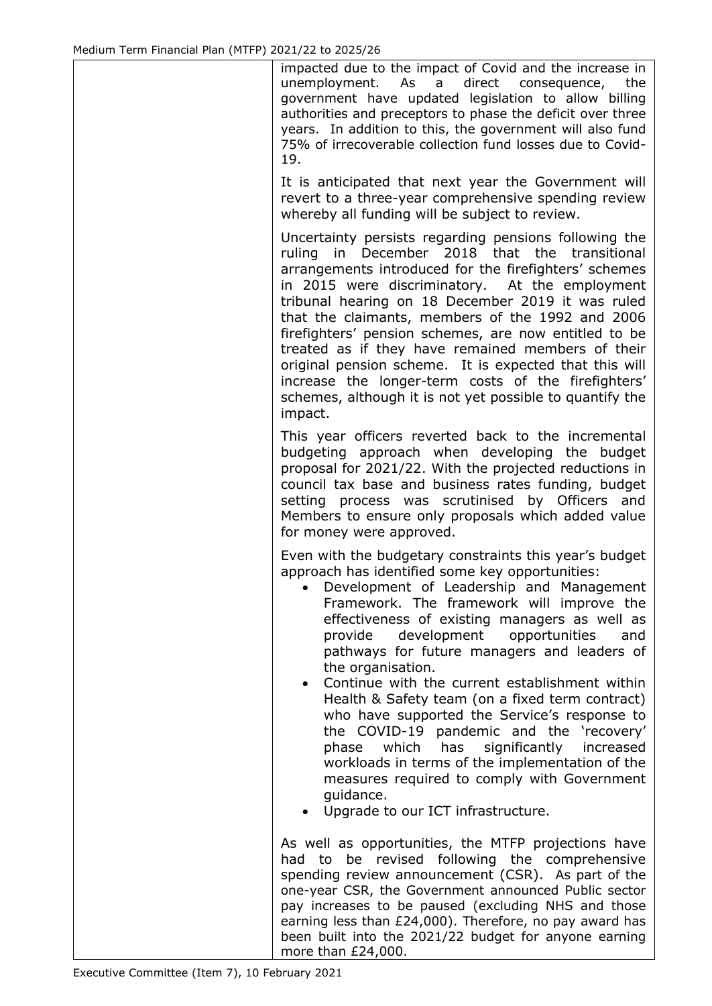impacted due to the impact of Covid and the increase in unemployment. As a direct consequence, the government have updated legislation to allow billing authorities and preceptors to phase the deficit over three years. In addition to this, the government will also fund 75% of irrecoverable collection fund losses due to Covid-19.

It is anticipated that next year the Government will revert to a three-year comprehensive spending review whereby all funding will be subject to review.

Uncertainty persists regarding pensions following the ruling in December 2018 that the transitional arrangements introduced for the firefighters' schemes in 2015 were discriminatory. At the employment tribunal hearing on 18 December 2019 it was ruled that the claimants, members of the 1992 and 2006 firefighters' pension schemes, are now entitled to be treated as if they have remained members of their original pension scheme. It is expected that this will increase the longer-term costs of the firefighters' schemes, although it is not yet possible to quantify the impact.

This year officers reverted back to the incremental budgeting approach when developing the budget proposal for 2021/22. With the projected reductions in council tax base and business rates funding, budget setting process was scrutinised by Officers and Members to ensure only proposals which added value for money were approved.

Even with the budgetary constraints this year's budget approach has identified some key opportunities:

- Development of Leadership and Management Framework. The framework will improve the effectiveness of existing managers as well as provide development opportunities and pathways for future managers and leaders of the organisation.
- Continue with the current establishment within Health & Safety team (on a fixed term contract) who have supported the Service's response to the COVID-19 pandemic and the 'recovery' phase which has significantly increased workloads in terms of the implementation of the measures required to comply with Government guidance.
- Upgrade to our ICT infrastructure.

As well as opportunities, the MTFP projections have had to be revised following the comprehensive spending review announcement (CSR). As part of the one-year CSR, the Government announced Public sector pay increases to be paused (excluding NHS and those earning less than £24,000). Therefore, no pay award has been built into the 2021/22 budget for anyone earning more than £24,000.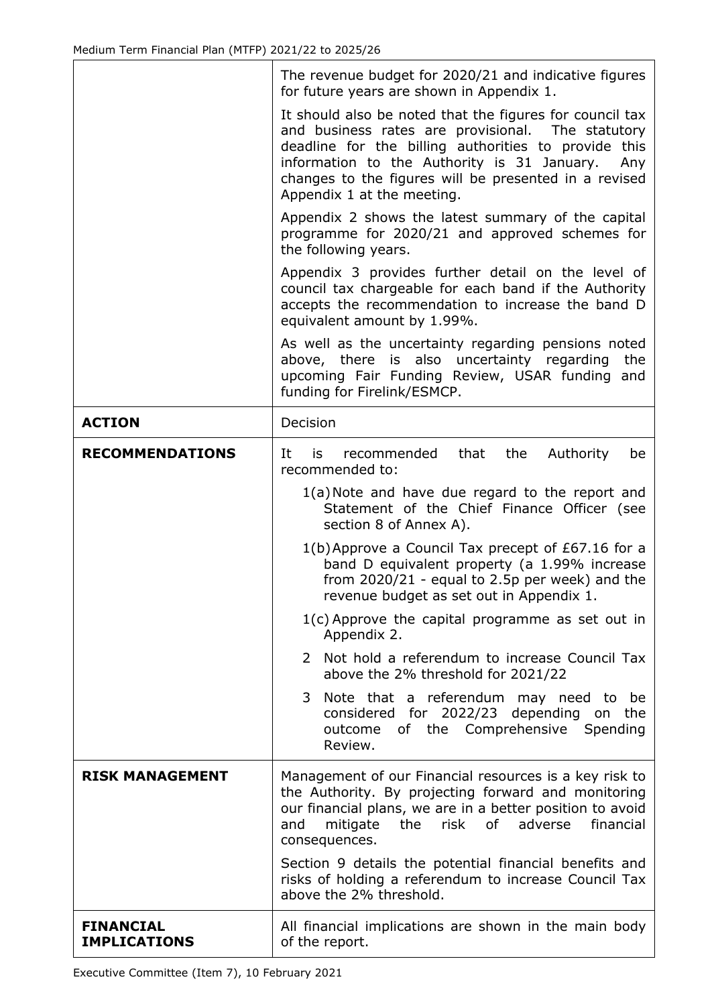|                                         | The revenue budget for 2020/21 and indicative figures<br>for future years are shown in Appendix 1.                                                                                                                                                                                                                 |  |  |  |  |  |
|-----------------------------------------|--------------------------------------------------------------------------------------------------------------------------------------------------------------------------------------------------------------------------------------------------------------------------------------------------------------------|--|--|--|--|--|
|                                         | It should also be noted that the figures for council tax<br>and business rates are provisional. The statutory<br>deadline for the billing authorities to provide this<br>information to the Authority is 31 January.<br>Any<br>changes to the figures will be presented in a revised<br>Appendix 1 at the meeting. |  |  |  |  |  |
|                                         | Appendix 2 shows the latest summary of the capital<br>programme for 2020/21 and approved schemes for<br>the following years.                                                                                                                                                                                       |  |  |  |  |  |
|                                         | Appendix 3 provides further detail on the level of<br>council tax chargeable for each band if the Authority<br>accepts the recommendation to increase the band D<br>equivalent amount by 1.99%.                                                                                                                    |  |  |  |  |  |
|                                         | As well as the uncertainty regarding pensions noted<br>above, there is also uncertainty regarding<br>the<br>upcoming Fair Funding Review, USAR funding and<br>funding for Firelink/ESMCP.                                                                                                                          |  |  |  |  |  |
| <b>ACTION</b>                           | Decision                                                                                                                                                                                                                                                                                                           |  |  |  |  |  |
| <b>RECOMMENDATIONS</b>                  | recommended<br>that<br>the<br>Authority<br>It<br>is<br>be<br>recommended to:                                                                                                                                                                                                                                       |  |  |  |  |  |
|                                         | 1(a) Note and have due regard to the report and<br>Statement of the Chief Finance Officer (see<br>section 8 of Annex A).                                                                                                                                                                                           |  |  |  |  |  |
|                                         | 1(b) Approve a Council Tax precept of £67.16 for a<br>band D equivalent property (a 1.99% increase<br>from $2020/21$ - equal to 2.5p per week) and the<br>revenue budget as set out in Appendix 1.                                                                                                                 |  |  |  |  |  |
|                                         | $1(c)$ Approve the capital programme as set out in<br>Appendix 2.                                                                                                                                                                                                                                                  |  |  |  |  |  |
|                                         | Not hold a referendum to increase Council Tax<br>2<br>above the 2% threshold for 2021/22                                                                                                                                                                                                                           |  |  |  |  |  |
|                                         | Note that a referendum may need to be<br>3<br>considered for 2022/23 depending on the<br>of the Comprehensive Spending<br>outcome<br>Review.                                                                                                                                                                       |  |  |  |  |  |
| <b>RISK MANAGEMENT</b>                  | Management of our Financial resources is a key risk to<br>the Authority. By projecting forward and monitoring<br>our financial plans, we are in a better position to avoid<br>the risk of adverse<br>financial<br>mitigate<br>and<br>consequences.                                                                 |  |  |  |  |  |
|                                         | Section 9 details the potential financial benefits and<br>risks of holding a referendum to increase Council Tax<br>above the 2% threshold.                                                                                                                                                                         |  |  |  |  |  |
| <b>FINANCIAL</b><br><b>IMPLICATIONS</b> | All financial implications are shown in the main body<br>of the report.                                                                                                                                                                                                                                            |  |  |  |  |  |

٦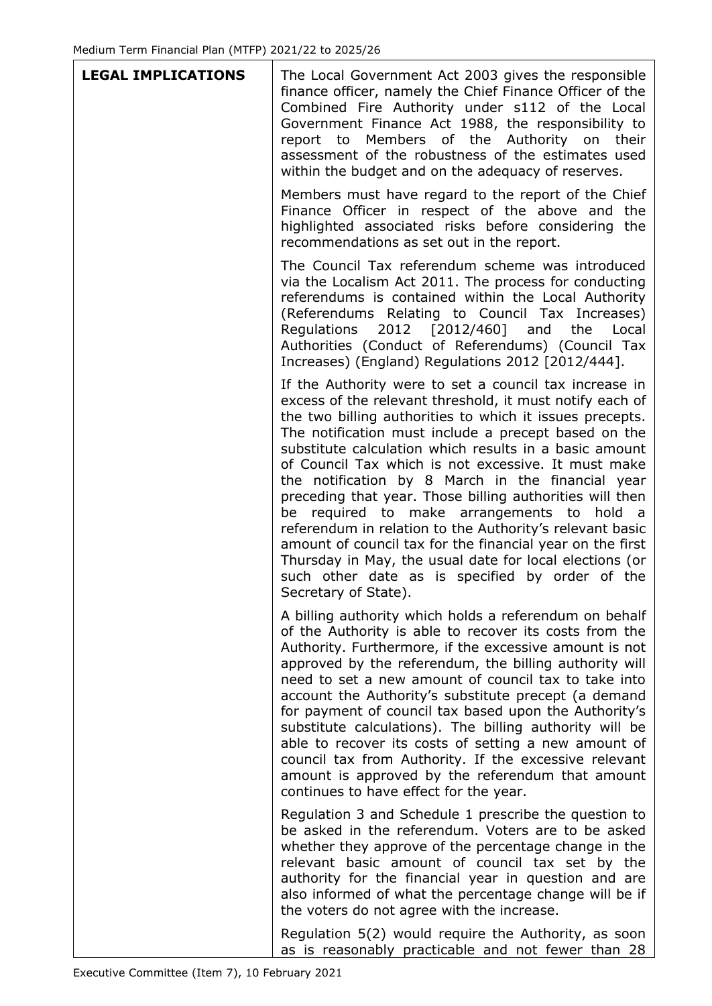| <b>LEGAL IMPLICATIONS</b> | The Local Government Act 2003 gives the responsible<br>finance officer, namely the Chief Finance Officer of the<br>Combined Fire Authority under s112 of the Local<br>Government Finance Act 1988, the responsibility to<br>report to Members of the Authority on<br>their<br>assessment of the robustness of the estimates used<br>within the budget and on the adequacy of reserves.                                                                                                                                                                                                                                                                                                                                                                                                |
|---------------------------|---------------------------------------------------------------------------------------------------------------------------------------------------------------------------------------------------------------------------------------------------------------------------------------------------------------------------------------------------------------------------------------------------------------------------------------------------------------------------------------------------------------------------------------------------------------------------------------------------------------------------------------------------------------------------------------------------------------------------------------------------------------------------------------|
|                           | Members must have regard to the report of the Chief<br>Finance Officer in respect of the above and the<br>highlighted associated risks before considering the<br>recommendations as set out in the report.                                                                                                                                                                                                                                                                                                                                                                                                                                                                                                                                                                            |
|                           | The Council Tax referendum scheme was introduced<br>via the Localism Act 2011. The process for conducting<br>referendums is contained within the Local Authority<br>(Referendums Relating to Council Tax Increases)<br>2012 [2012/460] and<br>Regulations<br>Local<br>the<br>Authorities (Conduct of Referendums) (Council Tax<br>Increases) (England) Regulations 2012 [2012/444].                                                                                                                                                                                                                                                                                                                                                                                                   |
|                           | If the Authority were to set a council tax increase in<br>excess of the relevant threshold, it must notify each of<br>the two billing authorities to which it issues precepts.<br>The notification must include a precept based on the<br>substitute calculation which results in a basic amount<br>of Council Tax which is not excessive. It must make<br>the notification by 8 March in the financial year<br>preceding that year. Those billing authorities will then<br>be required to make arrangements to hold a<br>referendum in relation to the Authority's relevant basic<br>amount of council tax for the financial year on the first<br>Thursday in May, the usual date for local elections (or<br>such other date as is specified by order of the<br>Secretary of State). |
|                           | A billing authority which holds a referendum on behalf<br>of the Authority is able to recover its costs from the<br>Authority. Furthermore, if the excessive amount is not<br>approved by the referendum, the billing authority will<br>need to set a new amount of council tax to take into<br>account the Authority's substitute precept (a demand<br>for payment of council tax based upon the Authority's<br>substitute calculations). The billing authority will be<br>able to recover its costs of setting a new amount of<br>council tax from Authority. If the excessive relevant<br>amount is approved by the referendum that amount<br>continues to have effect for the year.                                                                                               |
|                           | Regulation 3 and Schedule 1 prescribe the question to<br>be asked in the referendum. Voters are to be asked<br>whether they approve of the percentage change in the<br>relevant basic amount of council tax set by the<br>authority for the financial year in question and are<br>also informed of what the percentage change will be if<br>the voters do not agree with the increase.                                                                                                                                                                                                                                                                                                                                                                                                |
|                           | Regulation 5(2) would require the Authority, as soon<br>as is reasonably practicable and not fewer than 28                                                                                                                                                                                                                                                                                                                                                                                                                                                                                                                                                                                                                                                                            |

٦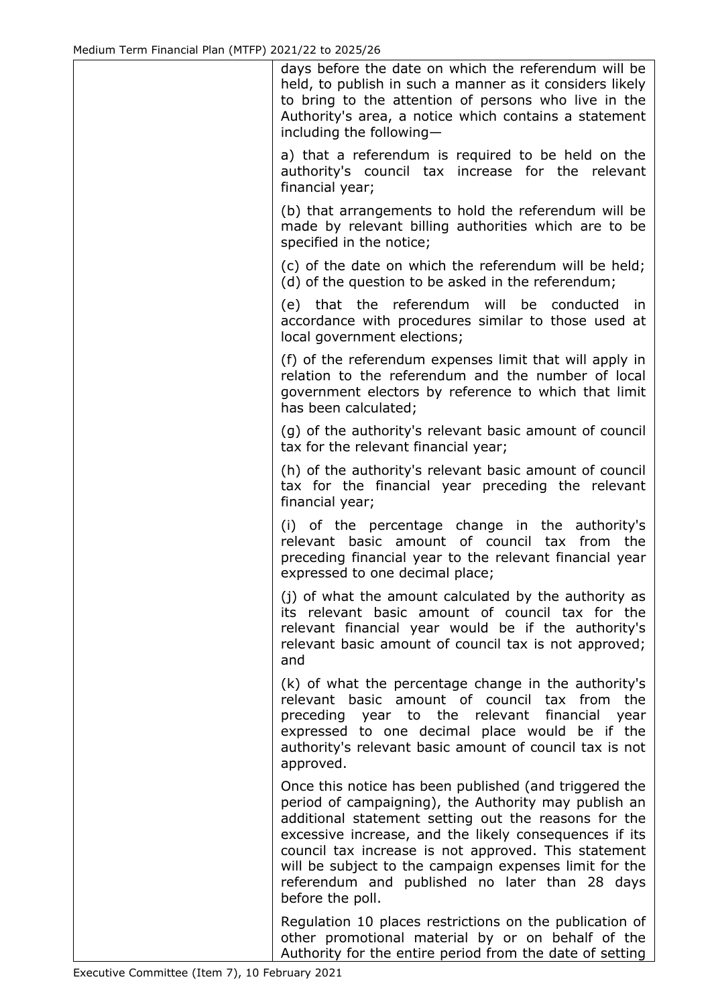| days before the date on which the referendum will be<br>held, to publish in such a manner as it considers likely<br>to bring to the attention of persons who live in the<br>Authority's area, a notice which contains a statement<br>including the following-                                                                                                                                                            |
|--------------------------------------------------------------------------------------------------------------------------------------------------------------------------------------------------------------------------------------------------------------------------------------------------------------------------------------------------------------------------------------------------------------------------|
| a) that a referendum is required to be held on the<br>authority's council tax increase for the relevant<br>financial year;                                                                                                                                                                                                                                                                                               |
| (b) that arrangements to hold the referendum will be<br>made by relevant billing authorities which are to be<br>specified in the notice;                                                                                                                                                                                                                                                                                 |
| (c) of the date on which the referendum will be held;<br>(d) of the question to be asked in the referendum;                                                                                                                                                                                                                                                                                                              |
| (e) that the referendum will be conducted<br>in<br>accordance with procedures similar to those used at<br>local government elections;                                                                                                                                                                                                                                                                                    |
| (f) of the referendum expenses limit that will apply in<br>relation to the referendum and the number of local<br>government electors by reference to which that limit<br>has been calculated;                                                                                                                                                                                                                            |
| (g) of the authority's relevant basic amount of council<br>tax for the relevant financial year;                                                                                                                                                                                                                                                                                                                          |
| (h) of the authority's relevant basic amount of council<br>tax for the financial year preceding the relevant<br>financial year;                                                                                                                                                                                                                                                                                          |
| (i) of the percentage change in the authority's<br>relevant basic amount of council tax from the<br>preceding financial year to the relevant financial year<br>expressed to one decimal place;                                                                                                                                                                                                                           |
| (j) of what the amount calculated by the authority as<br>its relevant basic amount of council tax for the<br>relevant financial year would be if the authority's<br>relevant basic amount of council tax is not approved;<br>and                                                                                                                                                                                         |
| (k) of what the percentage change in the authority's<br>relevant basic amount of council tax from<br>the<br>preceding year to the relevant<br>financial<br>year<br>expressed to one decimal place would be if the<br>authority's relevant basic amount of council tax is not<br>approved.                                                                                                                                |
| Once this notice has been published (and triggered the<br>period of campaigning), the Authority may publish an<br>additional statement setting out the reasons for the<br>excessive increase, and the likely consequences if its<br>council tax increase is not approved. This statement<br>will be subject to the campaign expenses limit for the<br>referendum and published no later than 28 days<br>before the poll. |
| Regulation 10 places restrictions on the publication of<br>other promotional material by or on behalf of the<br>Authority for the entire period from the date of setting                                                                                                                                                                                                                                                 |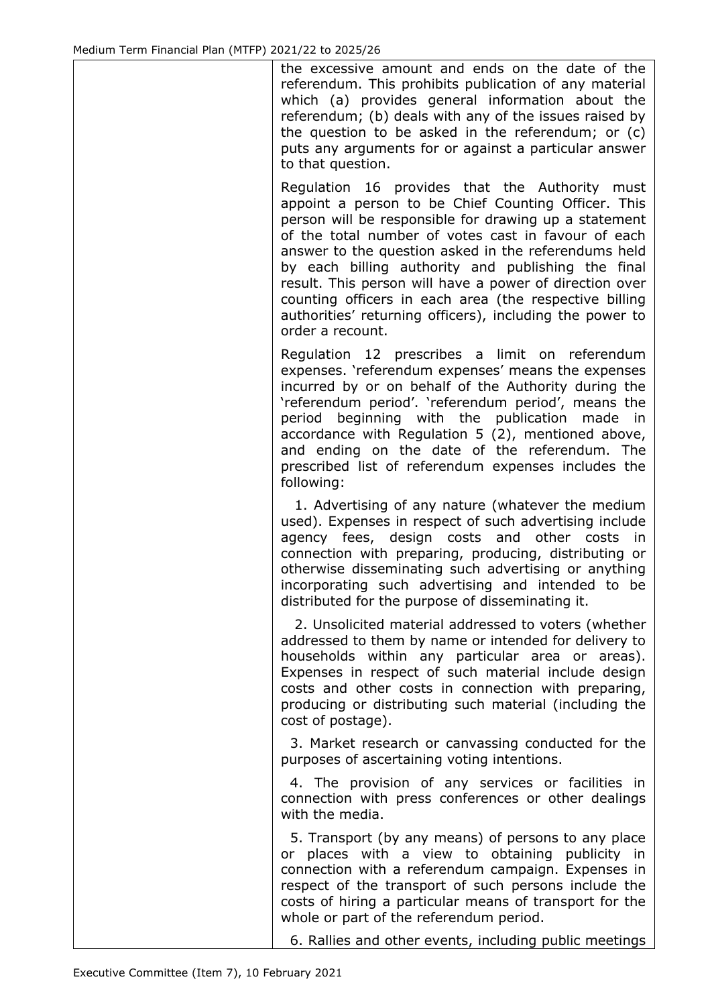the excessive amount and ends on the date of the referendum. This prohibits publication of any material which (a) provides general information about the referendum; (b) deals with any of the issues raised by the question to be asked in the referendum; or (c) puts any arguments for or against a particular answer to that question.

Regulation 16 provides that the Authority must appoint a person to be Chief Counting Officer. This person will be responsible for drawing up a statement of the total number of votes cast in favour of each answer to the question asked in the referendums held by each billing authority and publishing the final result. This person will have a power of direction over counting officers in each area (the respective billing authorities' returning officers), including the power to order a recount.

Regulation 12 prescribes a limit on referendum expenses. 'referendum expenses' means the expenses incurred by or on behalf of the Authority during the 'referendum period'. 'referendum period', means the period beginning with the publication made in accordance with Regulation 5 (2), mentioned above, and ending on the date of the referendum. The prescribed list of referendum expenses includes the following:

 1. Advertising of any nature (whatever the medium used). Expenses in respect of such advertising include agency fees, design costs and other costs in connection with preparing, producing, distributing or otherwise disseminating such advertising or anything incorporating such advertising and intended to be distributed for the purpose of disseminating it.

 2. Unsolicited material addressed to voters (whether addressed to them by name or intended for delivery to households within any particular area or areas). Expenses in respect of such material include design costs and other costs in connection with preparing, producing or distributing such material (including the cost of postage).

 3. Market research or canvassing conducted for the purposes of ascertaining voting intentions.

 4. The provision of any services or facilities in connection with press conferences or other dealings with the media.

 5. Transport (by any means) of persons to any place or places with a view to obtaining publicity in connection with a referendum campaign. Expenses in respect of the transport of such persons include the costs of hiring a particular means of transport for the whole or part of the referendum period.

6. Rallies and other events, including public meetings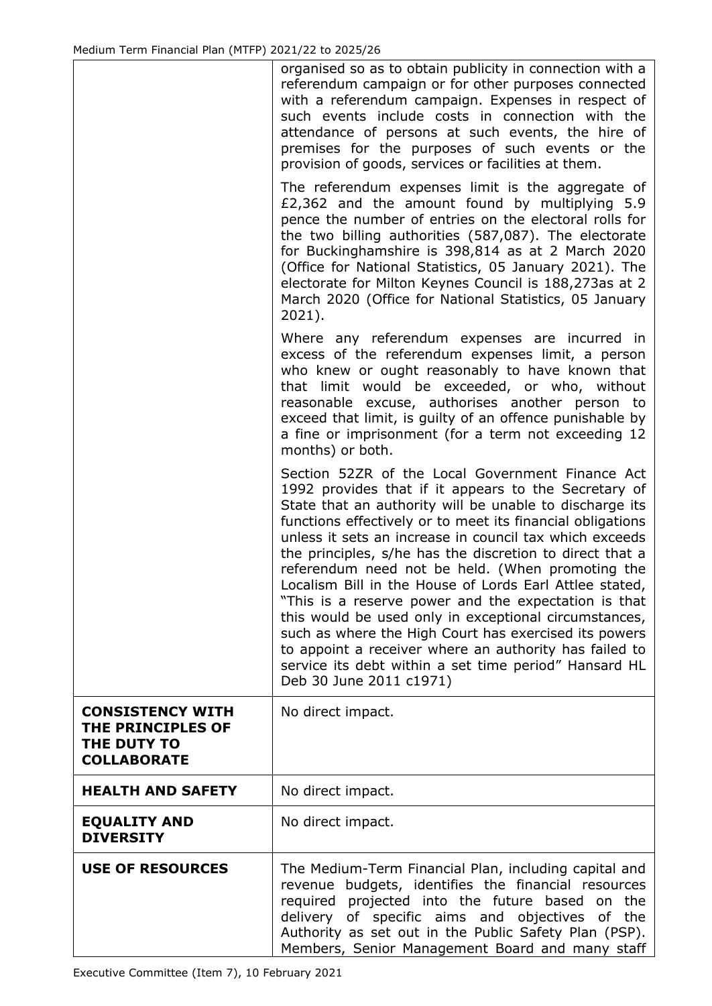|                                                                                   | organised so as to obtain publicity in connection with a<br>referendum campaign or for other purposes connected<br>with a referendum campaign. Expenses in respect of<br>such events include costs in connection with the<br>attendance of persons at such events, the hire of<br>premises for the purposes of such events or the<br>provision of goods, services or facilities at them.                                                                                                                                                                                                                                                                                                                                                                                                        |
|-----------------------------------------------------------------------------------|-------------------------------------------------------------------------------------------------------------------------------------------------------------------------------------------------------------------------------------------------------------------------------------------------------------------------------------------------------------------------------------------------------------------------------------------------------------------------------------------------------------------------------------------------------------------------------------------------------------------------------------------------------------------------------------------------------------------------------------------------------------------------------------------------|
|                                                                                   | The referendum expenses limit is the aggregate of<br>£2,362 and the amount found by multiplying 5.9<br>pence the number of entries on the electoral rolls for<br>the two billing authorities (587,087). The electorate<br>for Buckinghamshire is 398,814 as at 2 March 2020<br>(Office for National Statistics, 05 January 2021). The<br>electorate for Milton Keynes Council is 188,273as at 2<br>March 2020 (Office for National Statistics, 05 January<br>$2021$ ).                                                                                                                                                                                                                                                                                                                          |
|                                                                                   | Where any referendum expenses are incurred in<br>excess of the referendum expenses limit, a person<br>who knew or ought reasonably to have known that<br>that limit would be exceeded, or who, without<br>reasonable excuse, authorises another person to<br>exceed that limit, is guilty of an offence punishable by<br>a fine or imprisonment (for a term not exceeding 12<br>months) or both.                                                                                                                                                                                                                                                                                                                                                                                                |
|                                                                                   | Section 52ZR of the Local Government Finance Act<br>1992 provides that if it appears to the Secretary of<br>State that an authority will be unable to discharge its<br>functions effectively or to meet its financial obligations<br>unless it sets an increase in council tax which exceeds<br>the principles, s/he has the discretion to direct that a<br>referendum need not be held. (When promoting the<br>Localism Bill in the House of Lords Earl Attlee stated,<br>"This is a reserve power and the expectation is that<br>this would be used only in exceptional circumstances,<br>such as where the High Court has exercised its powers<br>to appoint a receiver where an authority has failed to<br>service its debt within a set time period" Hansard HL<br>Deb 30 June 2011 c1971) |
| <b>CONSISTENCY WITH</b><br>THE PRINCIPLES OF<br>THE DUTY TO<br><b>COLLABORATE</b> | No direct impact.                                                                                                                                                                                                                                                                                                                                                                                                                                                                                                                                                                                                                                                                                                                                                                               |
| <b>HEALTH AND SAFETY</b>                                                          | No direct impact.                                                                                                                                                                                                                                                                                                                                                                                                                                                                                                                                                                                                                                                                                                                                                                               |
| <b>EQUALITY AND</b><br><b>DIVERSITY</b>                                           | No direct impact.                                                                                                                                                                                                                                                                                                                                                                                                                                                                                                                                                                                                                                                                                                                                                                               |
| <b>USE OF RESOURCES</b>                                                           | The Medium-Term Financial Plan, including capital and<br>revenue budgets, identifies the financial resources<br>required projected into the future based on the<br>delivery of specific aims and objectives of<br>the<br>Authority as set out in the Public Safety Plan (PSP).<br>Members, Senior Management Board and many staff                                                                                                                                                                                                                                                                                                                                                                                                                                                               |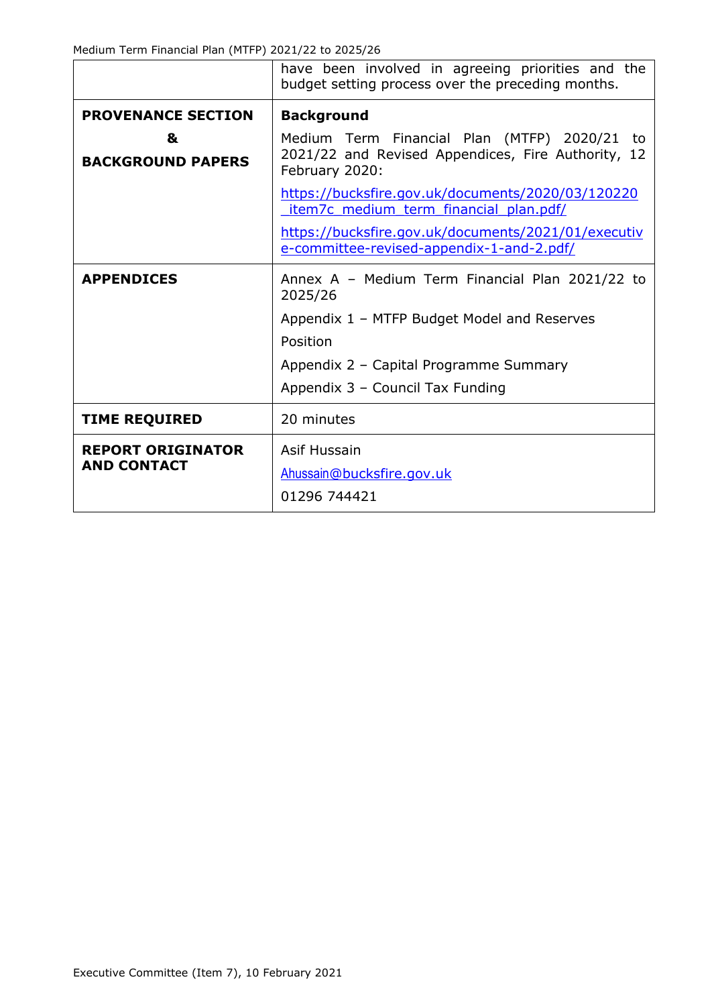Medium Term Financial Plan (MTFP) 2021/22 to 2025/26

|                                                | have been involved in agreeing priorities and the<br>budget setting process over the preceding months.               |  |  |  |  |  |  |
|------------------------------------------------|----------------------------------------------------------------------------------------------------------------------|--|--|--|--|--|--|
| <b>PROVENANCE SECTION</b>                      | <b>Background</b>                                                                                                    |  |  |  |  |  |  |
| &<br><b>BACKGROUND PAPERS</b>                  | Medium Term Financial Plan (MTFP) 2020/21 to<br>2021/22 and Revised Appendices, Fire Authority, 12<br>February 2020: |  |  |  |  |  |  |
|                                                | https://bucksfire.gov.uk/documents/2020/03/120220<br>item7c medium term financial plan.pdf/                          |  |  |  |  |  |  |
|                                                | https://bucksfire.gov.uk/documents/2021/01/executiv<br>e-committee-revised-appendix-1-and-2.pdf/                     |  |  |  |  |  |  |
| <b>APPENDICES</b>                              | Annex A - Medium Term Financial Plan 2021/22 to<br>2025/26                                                           |  |  |  |  |  |  |
|                                                | Appendix 1 - MTFP Budget Model and Reserves                                                                          |  |  |  |  |  |  |
|                                                | Position                                                                                                             |  |  |  |  |  |  |
|                                                | Appendix 2 - Capital Programme Summary                                                                               |  |  |  |  |  |  |
|                                                | Appendix 3 - Council Tax Funding                                                                                     |  |  |  |  |  |  |
| <b>TIME REQUIRED</b>                           | 20 minutes                                                                                                           |  |  |  |  |  |  |
| <b>REPORT ORIGINATOR</b><br><b>AND CONTACT</b> | Asif Hussain<br>Ahussain@bucksfire.gov.uk<br>01296 744421                                                            |  |  |  |  |  |  |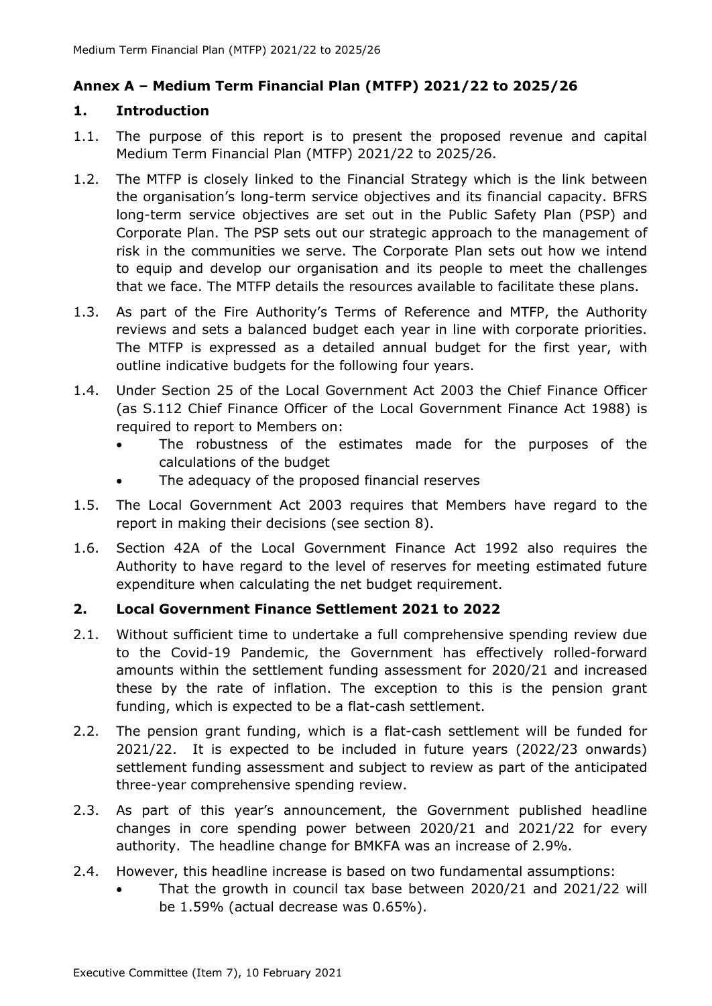#### **Annex A – Medium Term Financial Plan (MTFP) 2021/22 to 2025/26**

#### **1. Introduction**

- 1.1. The purpose of this report is to present the proposed revenue and capital Medium Term Financial Plan (MTFP) 2021/22 to 2025/26.
- 1.2. The MTFP is closely linked to the Financial Strategy which is the link between the organisation's long-term service objectives and its financial capacity. BFRS long-term service objectives are set out in the Public Safety Plan (PSP) and Corporate Plan. The PSP sets out our strategic approach to the management of risk in the communities we serve. The Corporate Plan sets out how we intend to equip and develop our organisation and its people to meet the challenges that we face. The MTFP details the resources available to facilitate these plans.
- 1.3. As part of the Fire Authority's Terms of Reference and MTFP, the Authority reviews and sets a balanced budget each year in line with corporate priorities. The MTFP is expressed as a detailed annual budget for the first year, with outline indicative budgets for the following four years.
- 1.4. Under Section 25 of the Local Government Act 2003 the Chief Finance Officer (as S.112 Chief Finance Officer of the Local Government Finance Act 1988) is required to report to Members on:
	- The robustness of the estimates made for the purposes of the calculations of the budget
	- The adequacy of the proposed financial reserves
- 1.5. The Local Government Act 2003 requires that Members have regard to the report in making their decisions (see section 8).
- 1.6. Section 42A of the Local Government Finance Act 1992 also requires the Authority to have regard to the level of reserves for meeting estimated future expenditure when calculating the net budget requirement.

#### **2. Local Government Finance Settlement 2021 to 2022**

- 2.1. Without sufficient time to undertake a full comprehensive spending review due to the Covid-19 Pandemic, the Government has effectively rolled-forward amounts within the settlement funding assessment for 2020/21 and increased these by the rate of inflation. The exception to this is the pension grant funding, which is expected to be a flat-cash settlement.
- 2.2. The pension grant funding, which is a flat-cash settlement will be funded for 2021/22. It is expected to be included in future years (2022/23 onwards) settlement funding assessment and subject to review as part of the anticipated three-year comprehensive spending review.
- 2.3. As part of this year's announcement, the Government published headline changes in core spending power between 2020/21 and 2021/22 for every authority. The headline change for BMKFA was an increase of 2.9%.
- 2.4. However, this headline increase is based on two fundamental assumptions:
	- That the growth in council tax base between 2020/21 and 2021/22 will be 1.59% (actual decrease was 0.65%).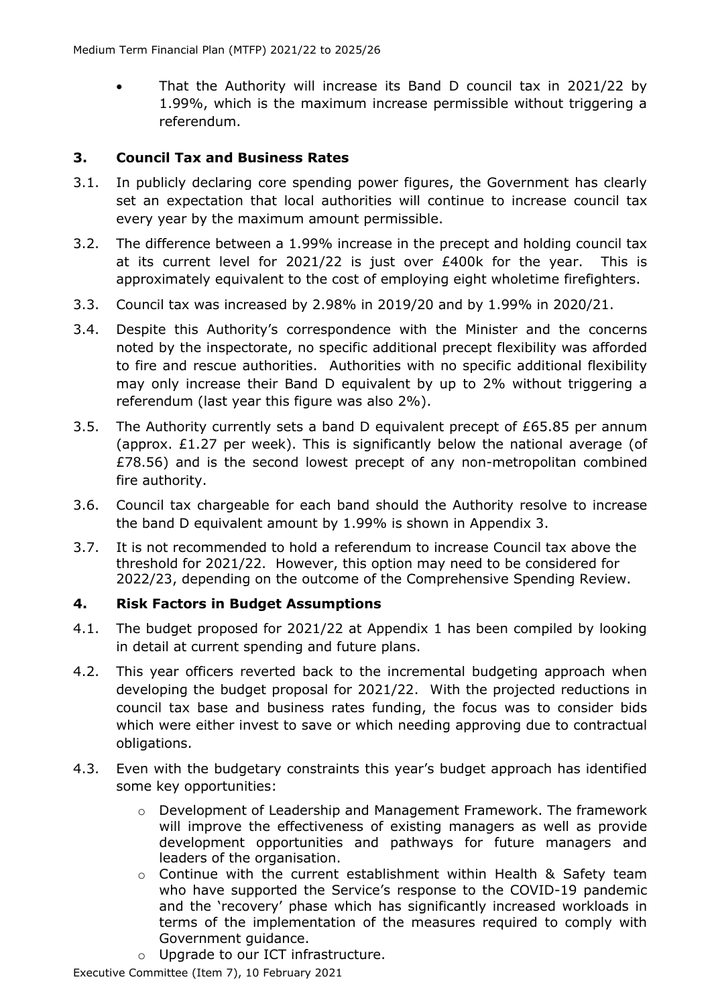• That the Authority will increase its Band D council tax in 2021/22 by 1.99%, which is the maximum increase permissible without triggering a referendum.

#### **3. Council Tax and Business Rates**

- 3.1. In publicly declaring core spending power figures, the Government has clearly set an expectation that local authorities will continue to increase council tax every year by the maximum amount permissible.
- 3.2. The difference between a 1.99% increase in the precept and holding council tax at its current level for 2021/22 is just over £400k for the year. This is approximately equivalent to the cost of employing eight wholetime firefighters.
- 3.3. Council tax was increased by 2.98% in 2019/20 and by 1.99% in 2020/21.
- 3.4. Despite this Authority's correspondence with the Minister and the concerns noted by the inspectorate, no specific additional precept flexibility was afforded to fire and rescue authorities. Authorities with no specific additional flexibility may only increase their Band D equivalent by up to 2% without triggering a referendum (last year this figure was also 2%).
- 3.5. The Authority currently sets a band D equivalent precept of £65.85 per annum (approx.  $£1.27$  per week). This is significantly below the national average (of £78.56) and is the second lowest precept of any non-metropolitan combined fire authority.
- 3.6. Council tax chargeable for each band should the Authority resolve to increase the band D equivalent amount by 1.99% is shown in Appendix 3.
- 3.7. It is not recommended to hold a referendum to increase Council tax above the threshold for 2021/22. However, this option may need to be considered for 2022/23, depending on the outcome of the Comprehensive Spending Review.

#### **4. Risk Factors in Budget Assumptions**

- 4.1. The budget proposed for 2021/22 at Appendix 1 has been compiled by looking in detail at current spending and future plans.
- 4.2. This year officers reverted back to the incremental budgeting approach when developing the budget proposal for 2021/22. With the projected reductions in council tax base and business rates funding, the focus was to consider bids which were either invest to save or which needing approving due to contractual obligations.
- 4.3. Even with the budgetary constraints this year's budget approach has identified some key opportunities:
	- $\circ$  Development of Leadership and Management Framework. The framework will improve the effectiveness of existing managers as well as provide development opportunities and pathways for future managers and leaders of the organisation.
	- o Continue with the current establishment within Health & Safety team who have supported the Service's response to the COVID-19 pandemic and the 'recovery' phase which has significantly increased workloads in terms of the implementation of the measures required to comply with Government guidance.
	- o Upgrade to our ICT infrastructure.

Executive Committee (Item 7), 10 February 2021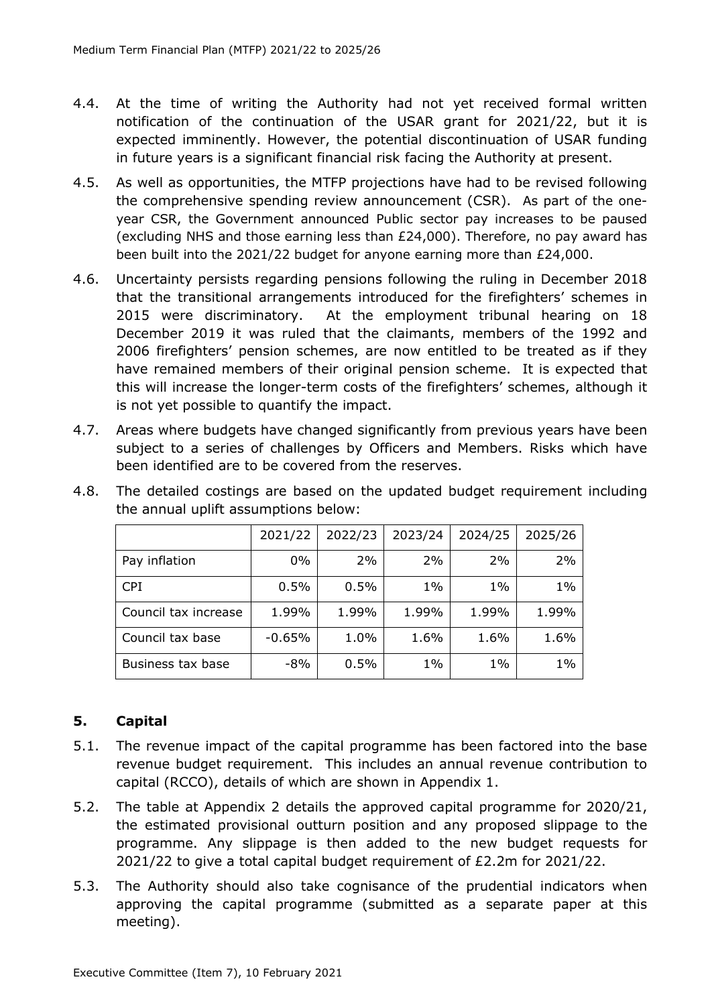- 4.4. At the time of writing the Authority had not yet received formal written notification of the continuation of the USAR grant for 2021/22, but it is expected imminently. However, the potential discontinuation of USAR funding in future years is a significant financial risk facing the Authority at present.
- 4.5. As well as opportunities, the MTFP projections have had to be revised following the comprehensive spending review announcement (CSR). As part of the oneyear CSR, the Government announced Public sector pay increases to be paused (excluding NHS and those earning less than £24,000). Therefore, no pay award has been built into the 2021/22 budget for anyone earning more than £24,000.
- 4.6. Uncertainty persists regarding pensions following the ruling in December 2018 that the transitional arrangements introduced for the firefighters' schemes in 2015 were discriminatory. At the employment tribunal hearing on 18 December 2019 it was ruled that the claimants, members of the 1992 and 2006 firefighters' pension schemes, are now entitled to be treated as if they have remained members of their original pension scheme. It is expected that this will increase the longer-term costs of the firefighters' schemes, although it is not yet possible to quantify the impact.
- 4.7. Areas where budgets have changed significantly from previous years have been subject to a series of challenges by Officers and Members. Risks which have been identified are to be covered from the reserves.

|                      | 2021/22  | 2022/23 | 2023/24 | 2024/25 | 2025/26 |
|----------------------|----------|---------|---------|---------|---------|
| Pay inflation        | $0\%$    | 2%      | 2%      | 2%      | 2%      |
| <b>CPI</b>           | 0.5%     | 0.5%    | $1\%$   | $1\%$   | $1\%$   |
| Council tax increase | 1.99%    | 1.99%   | 1.99%   | 1.99%   | 1.99%   |
| Council tax base     | $-0.65%$ | 1.0%    | 1.6%    | 1.6%    | 1.6%    |
| Business tax base    | $-8%$    | 0.5%    | $1\%$   | $1\%$   | $1\%$   |

4.8. The detailed costings are based on the updated budget requirement including the annual uplift assumptions below:

### **5. Capital**

- 5.1. The revenue impact of the capital programme has been factored into the base revenue budget requirement. This includes an annual revenue contribution to capital (RCCO), details of which are shown in Appendix 1.
- 5.2. The table at Appendix 2 details the approved capital programme for 2020/21, the estimated provisional outturn position and any proposed slippage to the programme. Any slippage is then added to the new budget requests for 2021/22 to give a total capital budget requirement of £2.2m for 2021/22.
- 5.3. The Authority should also take cognisance of the prudential indicators when approving the capital programme (submitted as a separate paper at this meeting).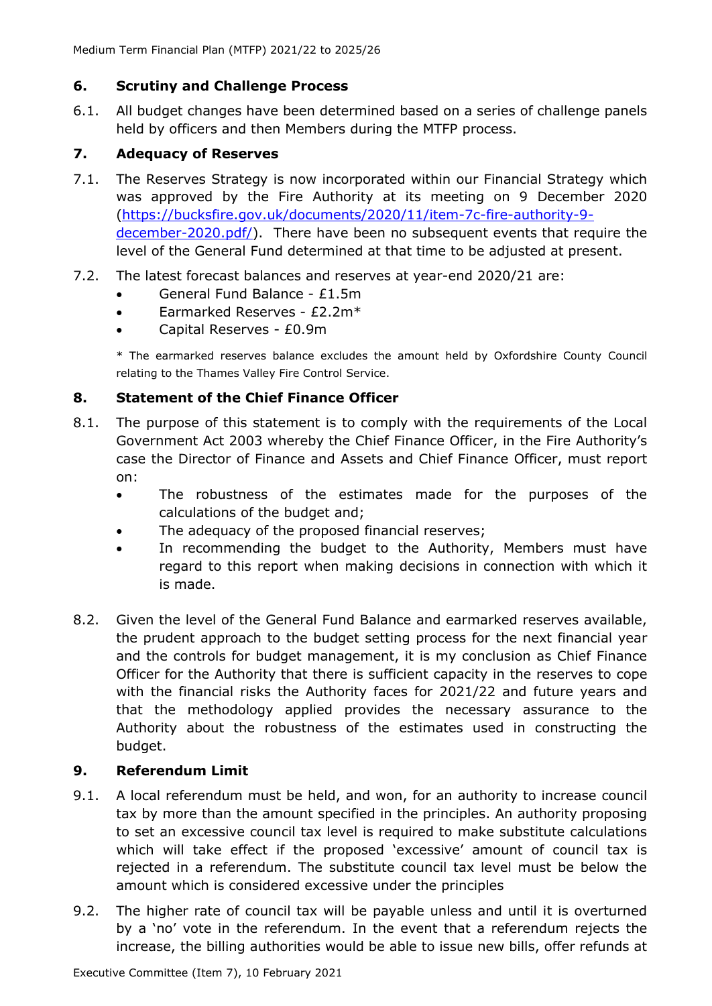#### **6. Scrutiny and Challenge Process**

6.1. All budget changes have been determined based on a series of challenge panels held by officers and then Members during the MTFP process.

### **7. Adequacy of Reserves**

- 7.1. The Reserves Strategy is now incorporated within our Financial Strategy which was approved by the Fire Authority at its meeting on 9 December 2020 [\(https://bucksfire.gov.uk/documents/2020/11/item-7c-fire-authority-9](https://bucksfire.gov.uk/documents/2020/11/item-7c-fire-authority-9-december-2020.pdf/) [december-2020.pdf/\)](https://bucksfire.gov.uk/documents/2020/11/item-7c-fire-authority-9-december-2020.pdf/). There have been no subsequent events that require the level of the General Fund determined at that time to be adjusted at present.
- 7.2. The latest forecast balances and reserves at year-end 2020/21 are:
	- General Fund Balance £1.5m
	- Earmarked Reserves £2.2m\*
	- Capital Reserves £0.9m

\* The earmarked reserves balance excludes the amount held by Oxfordshire County Council relating to the Thames Valley Fire Control Service.

#### **8. Statement of the Chief Finance Officer**

- 8.1. The purpose of this statement is to comply with the requirements of the Local Government Act 2003 whereby the Chief Finance Officer, in the Fire Authority's case the Director of Finance and Assets and Chief Finance Officer, must report on:
	- The robustness of the estimates made for the purposes of the calculations of the budget and;
	- The adequacy of the proposed financial reserves;
	- In recommending the budget to the Authority, Members must have regard to this report when making decisions in connection with which it is made.
- 8.2. Given the level of the General Fund Balance and earmarked reserves available, the prudent approach to the budget setting process for the next financial year and the controls for budget management, it is my conclusion as Chief Finance Officer for the Authority that there is sufficient capacity in the reserves to cope with the financial risks the Authority faces for 2021/22 and future years and that the methodology applied provides the necessary assurance to the Authority about the robustness of the estimates used in constructing the budget.

#### **9. Referendum Limit**

- 9.1. A local referendum must be held, and won, for an authority to increase council tax by more than the amount specified in the principles. An authority proposing to set an excessive council tax level is required to make substitute calculations which will take effect if the proposed 'excessive' amount of council tax is rejected in a referendum. The substitute council tax level must be below the amount which is considered excessive under the principles
- 9.2. The higher rate of council tax will be payable unless and until it is overturned by a 'no' vote in the referendum. In the event that a referendum rejects the increase, the billing authorities would be able to issue new bills, offer refunds at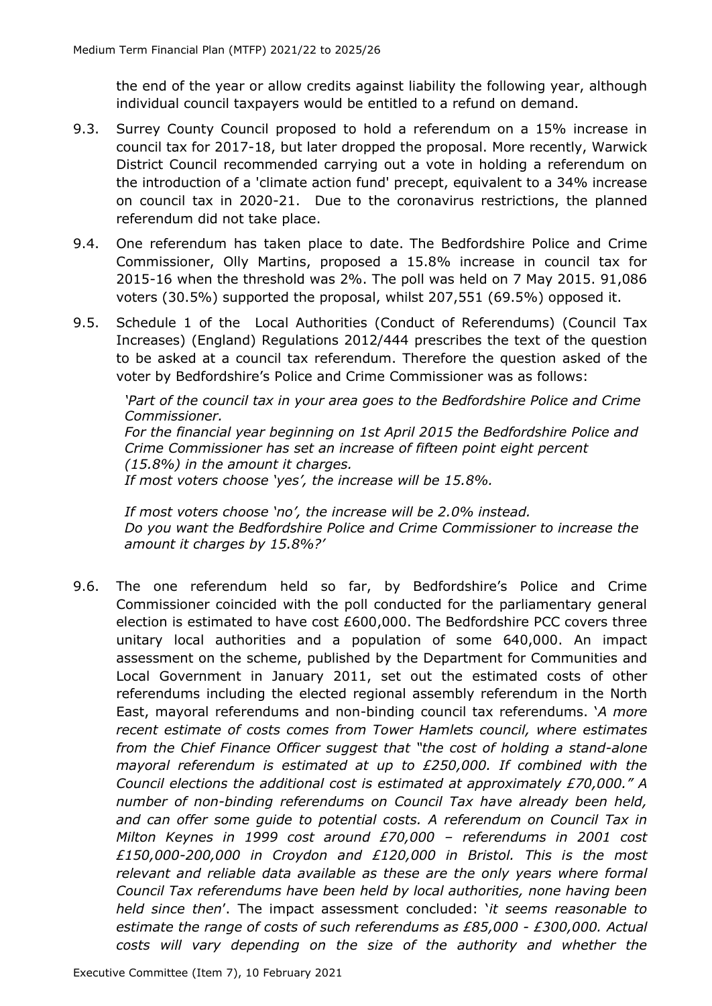the end of the year or allow credits against liability the following year, although individual council taxpayers would be entitled to a refund on demand.

- 9.3. Surrey County Council proposed to hold a referendum on a 15% increase in council tax for 2017-18, but later dropped the proposal. More recently, Warwick District Council recommended carrying out a vote in holding a referendum on the introduction of a 'climate action fund' precept, equivalent to a 34% increase on council tax in 2020-21. Due to the coronavirus restrictions, the planned referendum did not take place.
- 9.4. One referendum has taken place to date. The Bedfordshire Police and Crime Commissioner, Olly Martins, proposed a 15.8% increase in council tax for 2015-16 when the threshold was 2%. The poll was held on 7 May 2015. 91,086 voters (30.5%) supported the proposal, whilst 207,551 (69.5%) opposed it.
- 9.5. Schedule 1 of the Local Authorities (Conduct of Referendums) (Council Tax Increases) (England) Regulations 2012/444 prescribes the text of the question to be asked at a council tax referendum. Therefore the question asked of the voter by Bedfordshire's Police and Crime Commissioner was as follows:

*'Part of the council tax in your area goes to the Bedfordshire Police and Crime Commissioner. For the financial year beginning on 1st April 2015 the Bedfordshire Police and Crime Commissioner has set an increase of fifteen point eight percent (15.8%) in the amount it charges. If most voters choose 'yes', the increase will be 15.8%.*

*If most voters choose 'no', the increase will be 2.0% instead. Do you want the Bedfordshire Police and Crime Commissioner to increase the amount it charges by 15.8%?'*

9.6. The one referendum held so far, by Bedfordshire's Police and Crime Commissioner coincided with the poll conducted for the parliamentary general election is estimated to have cost £600,000. The Bedfordshire PCC covers three unitary local authorities and a population of some 640,000. An impact assessment on the scheme, published by the Department for Communities and Local Government in January 2011, set out the estimated costs of other referendums including the elected regional assembly referendum in the North East, mayoral referendums and non-binding council tax referendums. '*A more recent estimate of costs comes from Tower Hamlets council, where estimates from the Chief Finance Officer suggest that "the cost of holding a stand-alone mayoral referendum is estimated at up to £250,000. If combined with the Council elections the additional cost is estimated at approximately £70,000." A number of non-binding referendums on Council Tax have already been held, and can offer some guide to potential costs. A referendum on Council Tax in Milton Keynes in 1999 cost around £70,000 – referendums in 2001 cost £150,000-200,000 in Croydon and £120,000 in Bristol. This is the most*  relevant and reliable data available as these are the only years where formal *Council Tax referendums have been held by local authorities, none having been held since then*'. The impact assessment concluded: '*it seems reasonable to estimate the range of costs of such referendums as £85,000 - £300,000. Actual costs will vary depending on the size of the authority and whether the*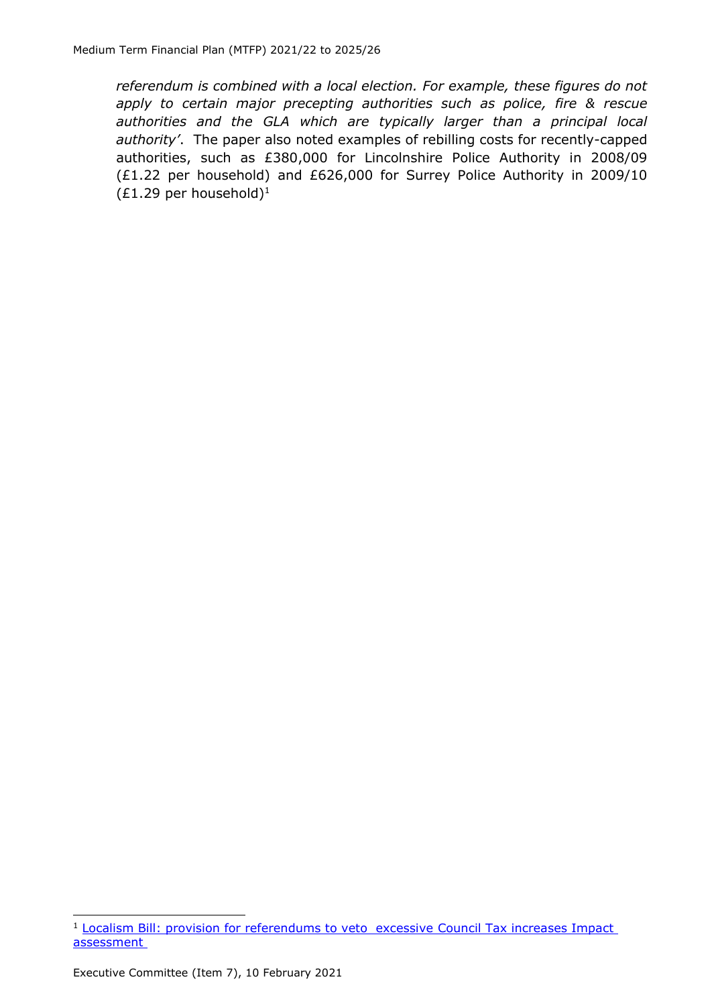*referendum is combined with a local election. For example, these figures do not apply to certain major precepting authorities such as police, fire & rescue authorities and the GLA which are typically larger than a principal local authority'*. The paper also noted examples of rebilling costs for recently-capped authorities, such as £380,000 for Lincolnshire Police Authority in 2008/09 (£1.22 per household) and £626,000 for Surrey Police Authority in 2009/10  $(E1.29$  per household)<sup>1</sup>

<sup>&</sup>lt;sup>1</sup> [Localism Bill: provision for referendums to veto excessive](https://assets.publishing.service.gov.uk/government/uploads/system/uploads/attachment_data/file/6026/1829683.pdf) Council Tax increases Impact [assessment](https://assets.publishing.service.gov.uk/government/uploads/system/uploads/attachment_data/file/6026/1829683.pdf)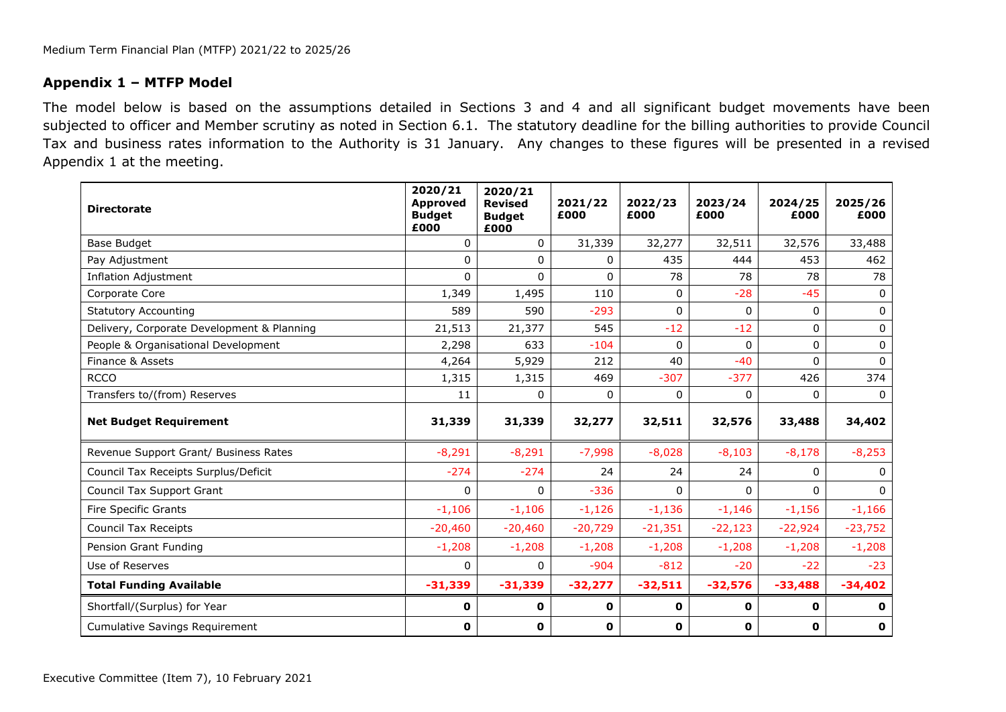#### **Appendix 1 – MTFP Model**

The model below is based on the assumptions detailed in Sections 3 and 4 and all significant budget movements have been subjected to officer and Member scrutiny as noted in Section 6.1. The statutory deadline for the billing authorities to provide Council Tax and business rates information to the Authority is 31 January. Any changes to these figures will be presented in a revised Appendix 1 at the meeting.

| <b>Directorate</b>                         | 2020/21<br><b>Approved</b><br><b>Budget</b><br>£000 | 2020/21<br><b>Revised</b><br><b>Budget</b><br>£000 | 2021/22<br>£000 | 2022/23<br>£000 | 2023/24<br>£000 | 2024/25<br>£000 | 2025/26<br>£000 |
|--------------------------------------------|-----------------------------------------------------|----------------------------------------------------|-----------------|-----------------|-----------------|-----------------|-----------------|
| Base Budget                                | $\mathbf{0}$                                        | 0                                                  | 31,339          | 32,277          | 32,511          | 32,576          | 33,488          |
| Pay Adjustment                             | $\Omega$                                            | 0                                                  | 0               | 435             | 444             | 453             | 462             |
| <b>Inflation Adjustment</b>                | $\Omega$                                            | $\Omega$                                           | $\mathbf{0}$    | 78              | 78              | 78              | 78              |
| Corporate Core                             | 1,349                                               | 1,495                                              | 110             | 0               | $-28$           | $-45$           | $\Omega$        |
| <b>Statutory Accounting</b>                | 589                                                 | 590                                                | $-293$          | 0               | 0               | 0               | $\Omega$        |
| Delivery, Corporate Development & Planning | 21,513                                              | 21,377                                             | 545             | $-12$           | $-12$           | 0               | 0               |
| People & Organisational Development        | 2,298                                               | 633                                                | $-104$          | 0               | $\Omega$        | $\Omega$        | $\Omega$        |
| Finance & Assets                           | 4,264                                               | 5,929                                              | 212             | 40              | $-40$           | $\Omega$        | $\Omega$        |
| <b>RCCO</b>                                | 1,315                                               | 1,315                                              | 469             | $-307$          | $-377$          | 426             | 374             |
| Transfers to/(from) Reserves               | 11                                                  | $\Omega$                                           | $\Omega$        | $\Omega$        | $\Omega$        | $\Omega$        | $\Omega$        |
| <b>Net Budget Requirement</b>              | 31,339                                              | 31,339                                             | 32,277          | 32,511          | 32,576          | 33,488          | 34,402          |
| Revenue Support Grant/ Business Rates      | $-8,291$                                            | $-8,291$                                           | $-7,998$        | $-8,028$        | $-8,103$        | $-8,178$        | $-8,253$        |
| Council Tax Receipts Surplus/Deficit       | $-274$                                              | $-274$                                             | 24              | 24              | 24              | 0               | $\Omega$        |
| Council Tax Support Grant                  | $\Omega$                                            | $\Omega$                                           | $-336$          | $\Omega$        | $\Omega$        | $\Omega$        | $\Omega$        |
| Fire Specific Grants                       | $-1,106$                                            | $-1,106$                                           | $-1,126$        | $-1,136$        | $-1,146$        | $-1,156$        | $-1,166$        |
| Council Tax Receipts                       | $-20,460$                                           | $-20,460$                                          | $-20,729$       | $-21,351$       | $-22,123$       | $-22,924$       | $-23,752$       |
| Pension Grant Funding                      | $-1,208$                                            | $-1,208$                                           | $-1,208$        | $-1,208$        | $-1,208$        | $-1,208$        | $-1,208$        |
| Use of Reserves                            | $\Omega$                                            | 0                                                  | $-904$          | $-812$          | $-20$           | $-22$           | $-23$           |
| <b>Total Funding Available</b>             | $-31,339$                                           | $-31,339$                                          | $-32,277$       | $-32,511$       | $-32,576$       | $-33,488$       | $-34,402$       |
| Shortfall/(Surplus) for Year               | 0                                                   | 0                                                  | $\mathbf 0$     | 0               | 0               | $\mathbf{o}$    | 0               |
| <b>Cumulative Savings Requirement</b>      | 0                                                   | 0                                                  | $\mathbf 0$     | 0               | 0               | $\mathbf 0$     | $\mathbf 0$     |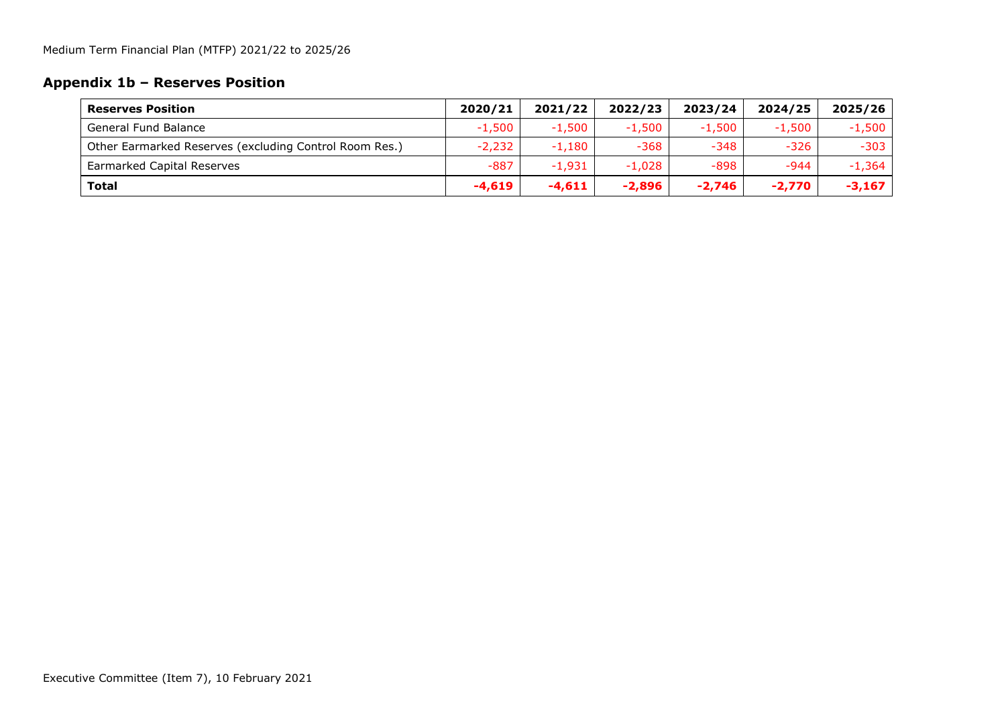## **Appendix 1b – Reserves Position**

| <b>Reserves Position</b>                               | 2020/21  | 2021/22  | 2022/23  | 2023/24  | 2024/25  | 2025/26  |
|--------------------------------------------------------|----------|----------|----------|----------|----------|----------|
| <b>General Fund Balance</b>                            | $-1,500$ | $-1.500$ | $-1,500$ | $-1,500$ | $-1.500$ | $-1,500$ |
| Other Earmarked Reserves (excluding Control Room Res.) | $-2,232$ | $-1.180$ | $-368$   | $-348$   | $-326$   | $-303$   |
| Earmarked Capital Reserves                             | $-887$   | $-1,931$ | $-1,028$ | -898     | -944     | $-1.364$ |
| <b>Total</b>                                           | $-4.619$ | $-4.611$ | $-2,896$ | $-2,746$ | $-2,770$ | $-3,167$ |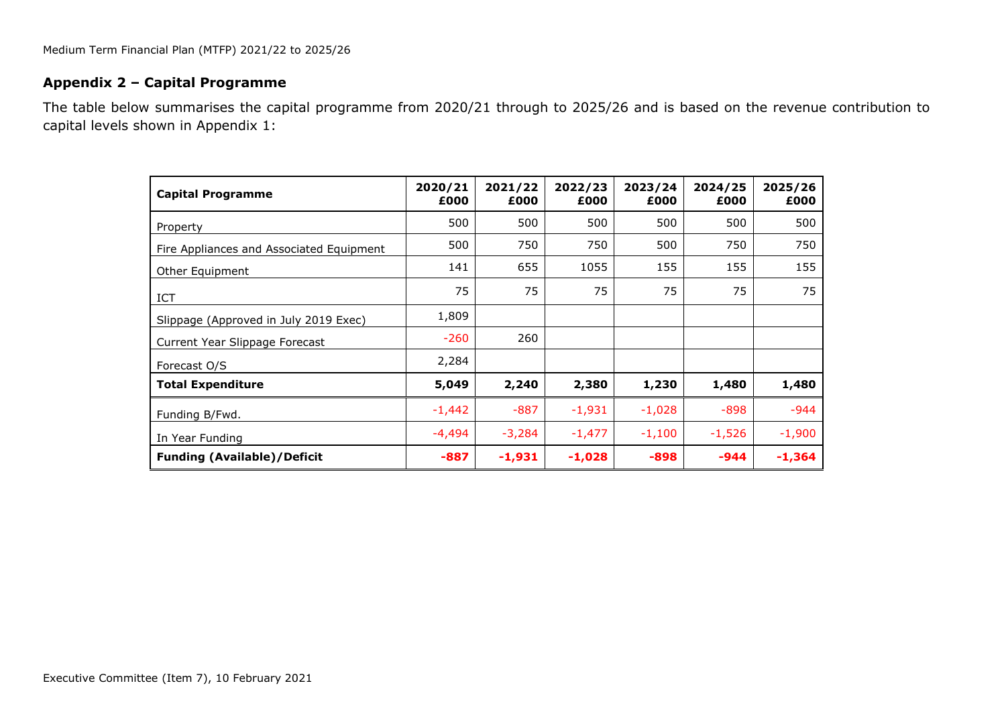#### **Appendix 2 – Capital Programme**

The table below summarises the capital programme from 2020/21 through to 2025/26 and is based on the revenue contribution to capital levels shown in Appendix 1:

| <b>Capital Programme</b>                 | 2020/21<br>£000 | 2021/22<br>£000 | 2022/23<br>£000 | 2023/24<br>£000 | 2024/25<br>£000 | 2025/26<br>£000 |
|------------------------------------------|-----------------|-----------------|-----------------|-----------------|-----------------|-----------------|
| Property                                 | 500             | 500             | 500             | 500             | 500             | 500             |
| Fire Appliances and Associated Equipment | 500             | 750             | 750             | 500             | 750             | 750             |
| Other Equipment                          | 141             | 655             | 1055            | 155             | 155             | 155             |
| <b>ICT</b>                               | 75              | 75              | 75              | 75              | 75              | 75              |
| Slippage (Approved in July 2019 Exec)    | 1,809           |                 |                 |                 |                 |                 |
| Current Year Slippage Forecast           | $-260$          | 260             |                 |                 |                 |                 |
| Forecast O/S                             | 2,284           |                 |                 |                 |                 |                 |
| <b>Total Expenditure</b>                 | 5,049           | 2,240           | 2,380           | 1,230           | 1,480           | 1,480           |
| Funding B/Fwd.                           | $-1,442$        | $-887$          | $-1,931$        | $-1,028$        | -898            | $-944$          |
| In Year Funding                          | -4,494          | $-3,284$        | $-1,477$        | $-1,100$        | $-1,526$        | $-1,900$        |
| <b>Funding (Available)/Deficit</b>       | $-887$          | $-1,931$        | $-1,028$        | $-898$          | -944            | $-1,364$        |